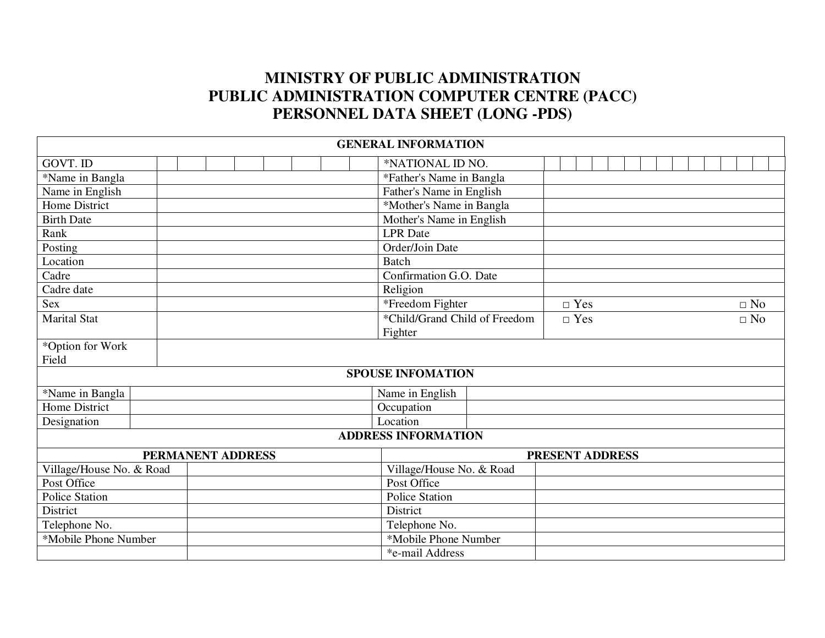## **MINISTRY OF PUBLIC ADMINISTRATION PUBLIC ADMINISTRATION COMPUTER CENTRE (PACC) PERSONNEL DATA SHEET (LONG -PDS)**

|                          |  |                   |  |  |  |  |               | <b>GENERAL INFORMATION</b>    |                 |            |  |  |  |           |
|--------------------------|--|-------------------|--|--|--|--|---------------|-------------------------------|-----------------|------------|--|--|--|-----------|
| GOVT. ID                 |  |                   |  |  |  |  |               | *NATIONAL ID NO.              |                 |            |  |  |  |           |
| *Name in Bangla          |  |                   |  |  |  |  |               | *Father's Name in Bangla      |                 |            |  |  |  |           |
| Name in English          |  |                   |  |  |  |  |               | Father's Name in English      |                 |            |  |  |  |           |
| Home District            |  |                   |  |  |  |  |               | *Mother's Name in Bangla      |                 |            |  |  |  |           |
| <b>Birth Date</b>        |  |                   |  |  |  |  |               | Mother's Name in English      |                 |            |  |  |  |           |
| Rank                     |  |                   |  |  |  |  |               | <b>LPR</b> Date               |                 |            |  |  |  |           |
| Posting                  |  |                   |  |  |  |  |               | Order/Join Date               |                 |            |  |  |  |           |
| Location                 |  |                   |  |  |  |  |               | <b>Batch</b>                  |                 |            |  |  |  |           |
| Cadre                    |  |                   |  |  |  |  |               | Confirmation G.O. Date        |                 |            |  |  |  |           |
| Cadre date               |  |                   |  |  |  |  |               | Religion                      |                 |            |  |  |  |           |
| Sex                      |  |                   |  |  |  |  |               | *Freedom Fighter              |                 | $\Box$ Yes |  |  |  | $\Box$ No |
| <b>Marital Stat</b>      |  |                   |  |  |  |  |               | *Child/Grand Child of Freedom |                 | $\Box$ Yes |  |  |  | $\Box$ No |
|                          |  |                   |  |  |  |  |               | Fighter                       |                 |            |  |  |  |           |
| *Option for Work         |  |                   |  |  |  |  |               |                               |                 |            |  |  |  |           |
| Field                    |  |                   |  |  |  |  |               |                               |                 |            |  |  |  |           |
|                          |  |                   |  |  |  |  |               | <b>SPOUSE INFOMATION</b>      |                 |            |  |  |  |           |
| *Name in Bangla          |  |                   |  |  |  |  |               | Name in English               |                 |            |  |  |  |           |
| Home District            |  |                   |  |  |  |  |               | Occupation                    |                 |            |  |  |  |           |
| Designation              |  |                   |  |  |  |  |               | Location                      |                 |            |  |  |  |           |
|                          |  |                   |  |  |  |  |               | <b>ADDRESS INFORMATION</b>    |                 |            |  |  |  |           |
|                          |  | PERMANENT ADDRESS |  |  |  |  |               |                               | PRESENT ADDRESS |            |  |  |  |           |
| Village/House No. & Road |  |                   |  |  |  |  |               | Village/House No. & Road      |                 |            |  |  |  |           |
| Post Office              |  |                   |  |  |  |  |               | Post Office                   |                 |            |  |  |  |           |
| Police Station           |  |                   |  |  |  |  |               | Police Station                |                 |            |  |  |  |           |
| District                 |  |                   |  |  |  |  |               | District                      |                 |            |  |  |  |           |
| Telephone No.            |  |                   |  |  |  |  | Telephone No. |                               |                 |            |  |  |  |           |
| *Mobile Phone Number     |  |                   |  |  |  |  |               | *Mobile Phone Number          |                 |            |  |  |  |           |
|                          |  |                   |  |  |  |  |               | *e-mail Address               |                 |            |  |  |  |           |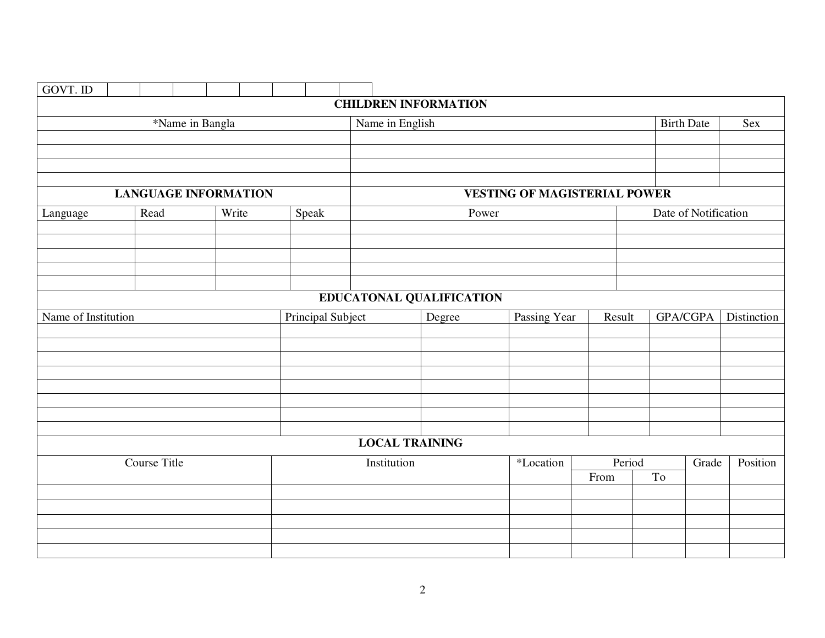| <b>GOVT. ID</b>     |              |                             |  |                          |                       |                             |       |                                     |        |        |    |                      |             |
|---------------------|--------------|-----------------------------|--|--------------------------|-----------------------|-----------------------------|-------|-------------------------------------|--------|--------|----|----------------------|-------------|
|                     |              |                             |  |                          |                       | <b>CHILDREN INFORMATION</b> |       |                                     |        |        |    |                      |             |
|                     |              | *Name in Bangla             |  |                          | Name in English       |                             |       |                                     |        |        |    | <b>Birth Date</b>    | <b>Sex</b>  |
|                     |              |                             |  |                          |                       |                             |       |                                     |        |        |    |                      |             |
|                     |              |                             |  |                          |                       |                             |       |                                     |        |        |    |                      |             |
|                     |              |                             |  |                          |                       |                             |       |                                     |        |        |    |                      |             |
|                     |              |                             |  |                          |                       |                             |       |                                     |        |        |    |                      |             |
|                     |              | <b>LANGUAGE INFORMATION</b> |  |                          |                       |                             |       | <b>VESTING OF MAGISTERIAL POWER</b> |        |        |    |                      |             |
| Language            | Read         | Write                       |  | Speak                    |                       |                             | Power |                                     |        |        |    | Date of Notification |             |
|                     |              |                             |  |                          |                       |                             |       |                                     |        |        |    |                      |             |
|                     |              |                             |  |                          |                       |                             |       |                                     |        |        |    |                      |             |
|                     |              |                             |  |                          |                       |                             |       |                                     |        |        |    |                      |             |
|                     |              |                             |  |                          |                       |                             |       |                                     |        |        |    |                      |             |
|                     |              |                             |  |                          |                       | EDUCATONAL QUALIFICATION    |       |                                     |        |        |    |                      |             |
|                     |              |                             |  |                          |                       |                             |       |                                     |        |        |    |                      | Distinction |
| Name of Institution |              |                             |  | <b>Principal Subject</b> |                       | Degree                      |       | Passing Year                        | Result |        |    | <b>GPA/CGPA</b>      |             |
|                     |              |                             |  |                          |                       |                             |       |                                     |        |        |    |                      |             |
|                     |              |                             |  |                          |                       |                             |       |                                     |        |        |    |                      |             |
|                     |              |                             |  |                          |                       |                             |       |                                     |        |        |    |                      |             |
|                     |              |                             |  |                          |                       |                             |       |                                     |        |        |    |                      |             |
|                     |              |                             |  |                          |                       |                             |       |                                     |        |        |    |                      |             |
|                     |              |                             |  |                          |                       |                             |       |                                     |        |        |    |                      |             |
|                     |              |                             |  |                          |                       |                             |       |                                     |        |        |    |                      |             |
|                     |              |                             |  |                          | <b>LOCAL TRAINING</b> |                             |       |                                     |        |        |    |                      |             |
|                     | Course Title |                             |  |                          | Institution           |                             |       | *Location                           |        | Period |    | Grade                | Position    |
|                     |              |                             |  |                          |                       |                             |       |                                     | From   |        | To |                      |             |
|                     |              |                             |  |                          |                       |                             |       |                                     |        |        |    |                      |             |
|                     |              |                             |  |                          |                       |                             |       |                                     |        |        |    |                      |             |
|                     |              |                             |  |                          |                       |                             |       |                                     |        |        |    |                      |             |
|                     |              |                             |  |                          |                       |                             |       |                                     |        |        |    |                      |             |
|                     |              |                             |  |                          |                       |                             |       |                                     |        |        |    |                      |             |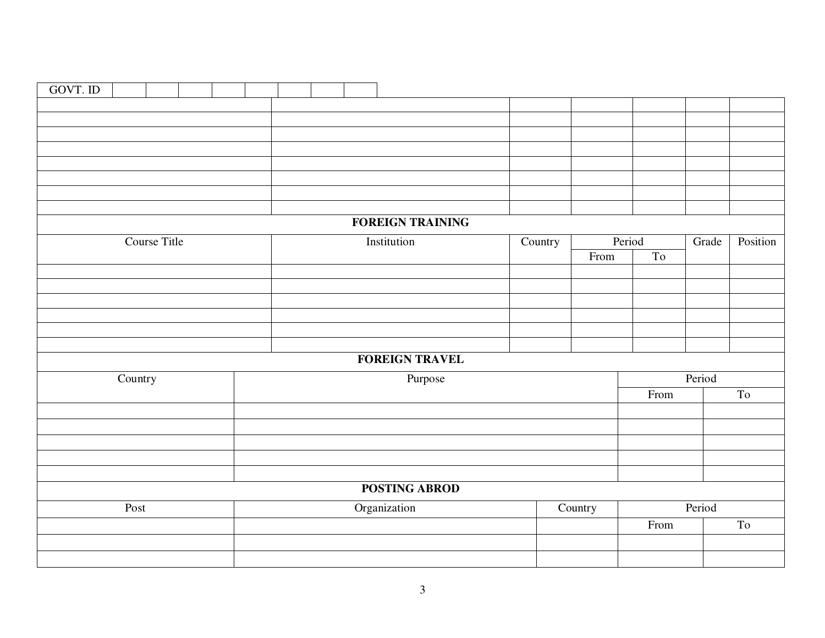| GOVT. ID |         |              |  |  |  |                         |         |         |        |        |       |          |
|----------|---------|--------------|--|--|--|-------------------------|---------|---------|--------|--------|-------|----------|
|          |         |              |  |  |  |                         |         |         |        |        |       |          |
|          |         |              |  |  |  |                         |         |         |        |        |       |          |
|          |         |              |  |  |  |                         |         |         |        |        |       |          |
|          |         |              |  |  |  |                         |         |         |        |        |       |          |
|          |         |              |  |  |  |                         |         |         |        |        |       |          |
|          |         |              |  |  |  |                         |         |         |        |        |       |          |
|          |         |              |  |  |  |                         |         |         |        |        |       |          |
|          |         |              |  |  |  |                         |         |         |        |        |       |          |
|          |         |              |  |  |  | <b>FOREIGN TRAINING</b> |         |         |        |        |       |          |
|          |         | Course Title |  |  |  | Institution             | Country |         | Period |        | Grade | Position |
|          |         |              |  |  |  |                         |         | From    | To     |        |       |          |
|          |         |              |  |  |  |                         |         |         |        |        |       |          |
|          |         |              |  |  |  |                         |         |         |        |        |       |          |
|          |         |              |  |  |  |                         |         |         |        |        |       |          |
|          |         |              |  |  |  |                         |         |         |        |        |       |          |
|          |         |              |  |  |  |                         |         |         |        |        |       |          |
|          |         |              |  |  |  |                         |         |         |        |        |       |          |
|          |         |              |  |  |  | <b>FOREIGN TRAVEL</b>   |         |         |        |        |       |          |
|          | Country |              |  |  |  | Purpose                 |         |         |        | Period |       |          |
|          |         |              |  |  |  |                         |         |         | From   |        |       | To       |
|          |         |              |  |  |  |                         |         |         |        |        |       |          |
|          |         |              |  |  |  |                         |         |         |        |        |       |          |
|          |         |              |  |  |  |                         |         |         |        |        |       |          |
|          |         |              |  |  |  |                         |         |         |        |        |       |          |
|          |         |              |  |  |  |                         |         |         |        |        |       |          |
|          |         |              |  |  |  | <b>POSTING ABROD</b>    |         |         |        |        |       |          |
|          | Post    |              |  |  |  | Organization            |         | Country |        | Period |       |          |
|          |         |              |  |  |  |                         |         |         | From   |        |       | To       |
|          |         |              |  |  |  |                         |         |         |        |        |       |          |
|          |         |              |  |  |  |                         |         |         |        |        |       |          |
|          |         |              |  |  |  |                         |         |         |        |        |       |          |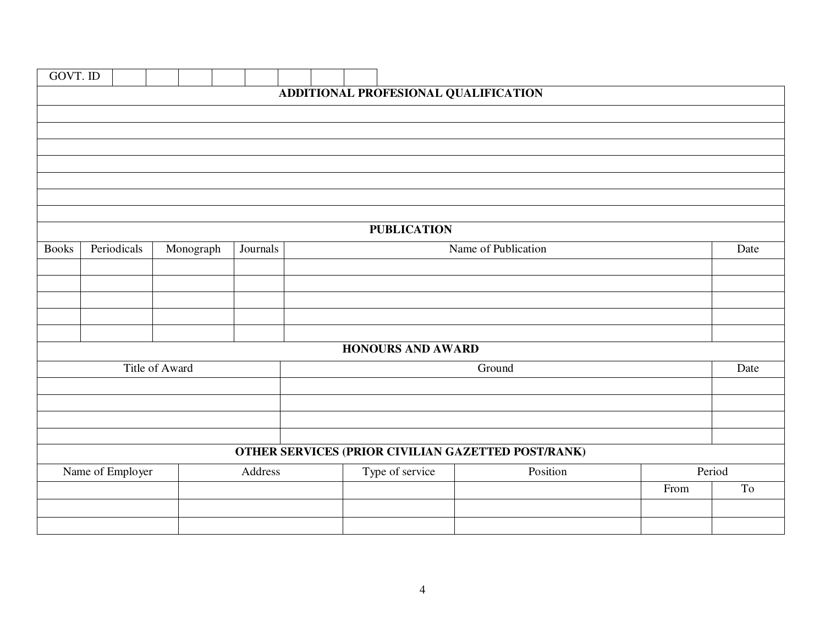| GOVT. ID     |                  |                |           |          |  |  |                          |                                                    |      |                     |
|--------------|------------------|----------------|-----------|----------|--|--|--------------------------|----------------------------------------------------|------|---------------------|
|              |                  |                |           |          |  |  |                          | ADDITIONAL PROFESIONAL QUALIFICATION               |      |                     |
|              |                  |                |           |          |  |  |                          |                                                    |      |                     |
|              |                  |                |           |          |  |  |                          |                                                    |      |                     |
|              |                  |                |           |          |  |  |                          |                                                    |      |                     |
|              |                  |                |           |          |  |  |                          |                                                    |      |                     |
|              |                  |                |           |          |  |  |                          |                                                    |      |                     |
|              |                  |                |           |          |  |  |                          |                                                    |      |                     |
|              |                  |                |           |          |  |  |                          |                                                    |      |                     |
|              |                  |                |           |          |  |  | <b>PUBLICATION</b>       |                                                    |      |                     |
| <b>Books</b> | Periodicals      |                | Monograph | Journals |  |  |                          | Name of Publication                                |      | Date                |
|              |                  |                |           |          |  |  |                          |                                                    |      |                     |
|              |                  |                |           |          |  |  |                          |                                                    |      |                     |
|              |                  |                |           |          |  |  |                          |                                                    |      |                     |
|              |                  |                |           |          |  |  |                          |                                                    |      |                     |
|              |                  |                |           |          |  |  | <b>HONOURS AND AWARD</b> |                                                    |      |                     |
|              |                  |                |           |          |  |  |                          |                                                    |      |                     |
|              |                  | Title of Award |           |          |  |  |                          | Ground                                             |      | Date                |
|              |                  |                |           |          |  |  |                          |                                                    |      |                     |
|              |                  |                |           |          |  |  |                          |                                                    |      |                     |
|              |                  |                |           |          |  |  |                          |                                                    |      |                     |
|              |                  |                |           |          |  |  |                          | OTHER SERVICES (PRIOR CIVILIAN GAZETTED POST/RANK) |      |                     |
|              | Name of Employer |                |           | Address  |  |  | Type of service          | Position                                           |      | Period              |
|              |                  |                |           |          |  |  |                          |                                                    | From | $\operatorname{To}$ |
|              |                  |                |           |          |  |  |                          |                                                    |      |                     |
|              |                  |                |           |          |  |  |                          |                                                    |      |                     |
|              |                  |                |           |          |  |  |                          |                                                    |      |                     |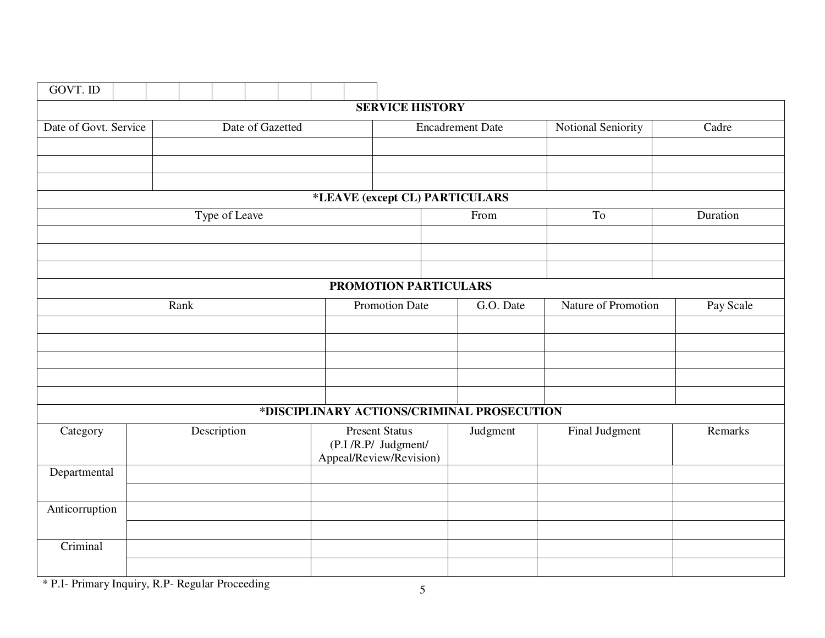| GOVT. ID              |          |  |      |               |                  |  |  |                                                                         |                                |  |                                            |                     |           |
|-----------------------|----------|--|------|---------------|------------------|--|--|-------------------------------------------------------------------------|--------------------------------|--|--------------------------------------------|---------------------|-----------|
|                       |          |  |      |               |                  |  |  |                                                                         | <b>SERVICE HISTORY</b>         |  |                                            |                     |           |
| Date of Govt. Service |          |  |      |               | Date of Gazetted |  |  |                                                                         |                                |  | <b>Encadrement Date</b>                    | Notional Seniority  | Cadre     |
|                       |          |  |      |               |                  |  |  |                                                                         |                                |  |                                            |                     |           |
|                       |          |  |      |               |                  |  |  |                                                                         |                                |  |                                            |                     |           |
|                       |          |  |      |               |                  |  |  |                                                                         |                                |  |                                            |                     |           |
|                       |          |  |      |               |                  |  |  |                                                                         | *LEAVE (except CL) PARTICULARS |  |                                            |                     |           |
|                       |          |  |      | Type of Leave |                  |  |  |                                                                         |                                |  | From                                       | To                  | Duration  |
|                       |          |  |      |               |                  |  |  |                                                                         |                                |  |                                            |                     |           |
|                       |          |  |      |               |                  |  |  |                                                                         |                                |  |                                            |                     |           |
|                       |          |  |      |               |                  |  |  |                                                                         | PROMOTION PARTICULARS          |  |                                            |                     |           |
|                       |          |  | Rank |               |                  |  |  |                                                                         | Promotion Date                 |  | G.O. Date                                  | Nature of Promotion | Pay Scale |
|                       |          |  |      |               |                  |  |  |                                                                         |                                |  |                                            |                     |           |
|                       |          |  |      |               |                  |  |  |                                                                         |                                |  |                                            |                     |           |
|                       |          |  |      |               |                  |  |  |                                                                         |                                |  |                                            |                     |           |
|                       |          |  |      |               |                  |  |  |                                                                         |                                |  |                                            |                     |           |
|                       |          |  |      |               |                  |  |  |                                                                         |                                |  |                                            |                     |           |
|                       |          |  |      |               |                  |  |  |                                                                         |                                |  | *DISCIPLINARY ACTIONS/CRIMINAL PROSECUTION |                     |           |
| Category              |          |  |      | Description   |                  |  |  | <b>Present Status</b><br>(P.I/R.P/ Judgment/<br>Appeal/Review/Revision) |                                |  | Judgment                                   | Final Judgment      | Remarks   |
| Departmental          |          |  |      |               |                  |  |  |                                                                         |                                |  |                                            |                     |           |
|                       |          |  |      |               |                  |  |  |                                                                         |                                |  |                                            |                     |           |
| Anticorruption        |          |  |      |               |                  |  |  |                                                                         |                                |  |                                            |                     |           |
|                       |          |  |      |               |                  |  |  |                                                                         |                                |  |                                            |                     |           |
|                       | Criminal |  |      |               |                  |  |  |                                                                         |                                |  |                                            |                     |           |
|                       |          |  |      |               |                  |  |  |                                                                         |                                |  |                                            |                     |           |

\* P.I- Primary Inquiry, R.P- Regular Proceeding